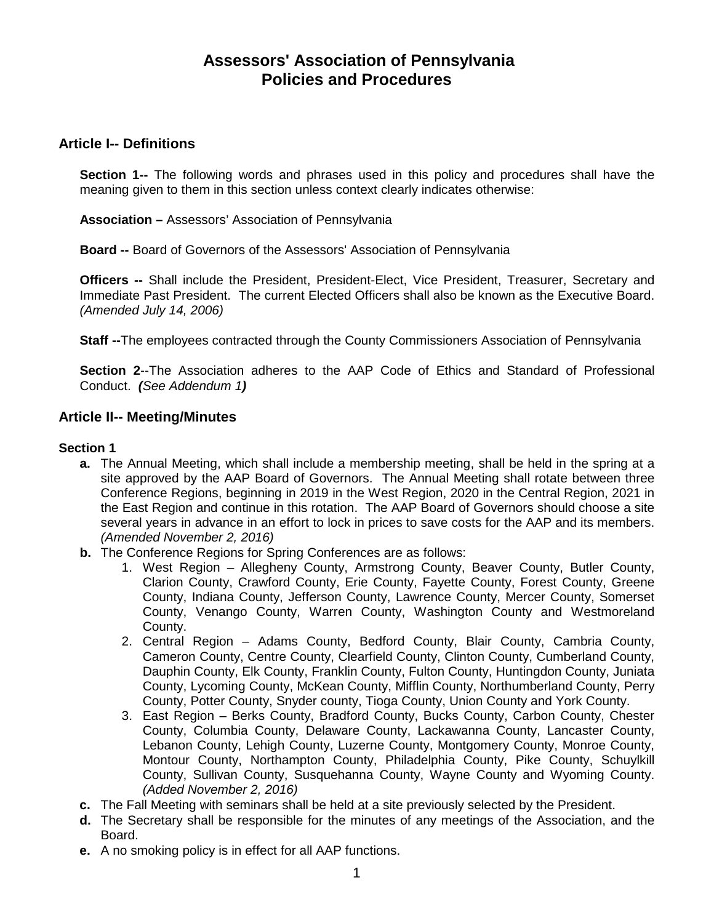# **Assessors' Association of Pennsylvania Policies and Procedures**

# **Article I-- Definitions**

**Section 1--** The following words and phrases used in this policy and procedures shall have the meaning given to them in this section unless context clearly indicates otherwise:

**Association –** Assessors' Association of Pennsylvania

**Board --** Board of Governors of the Assessors' Association of Pennsylvania

**Officers --** Shall include the President, President-Elect, Vice President, Treasurer, Secretary and Immediate Past President. The current Elected Officers shall also be known as the Executive Board. *(Amended July 14, 2006)* 

**Staff --**The employees contracted through the County Commissioners Association of Pennsylvania

**Section 2**--The Association adheres to the AAP Code of Ethics and Standard of Professional Conduct. *(See Addendum 1)*

### **Article II-- Meeting/Minutes**

### **Section 1**

- **a.** The Annual Meeting, which shall include a membership meeting, shall be held in the spring at a site approved by the AAP Board of Governors. The Annual Meeting shall rotate between three Conference Regions, beginning in 2019 in the West Region, 2020 in the Central Region, 2021 in the East Region and continue in this rotation. The AAP Board of Governors should choose a site several years in advance in an effort to lock in prices to save costs for the AAP and its members. *(Amended November 2, 2016)*
- **b.** The Conference Regions for Spring Conferences are as follows:
	- 1. West Region Allegheny County, Armstrong County, Beaver County, Butler County, Clarion County, Crawford County, Erie County, Fayette County, Forest County, Greene County, Indiana County, Jefferson County, Lawrence County, Mercer County, Somerset County, Venango County, Warren County, Washington County and Westmoreland County.
	- 2. Central Region Adams County, Bedford County, Blair County, Cambria County, Cameron County, Centre County, Clearfield County, Clinton County, Cumberland County, Dauphin County, Elk County, Franklin County, Fulton County, Huntingdon County, Juniata County, Lycoming County, McKean County, Mifflin County, Northumberland County, Perry County, Potter County, Snyder county, Tioga County, Union County and York County.
	- 3. East Region Berks County, Bradford County, Bucks County, Carbon County, Chester County, Columbia County, Delaware County, Lackawanna County, Lancaster County, Lebanon County, Lehigh County, Luzerne County, Montgomery County, Monroe County, Montour County, Northampton County, Philadelphia County, Pike County, Schuylkill County, Sullivan County, Susquehanna County, Wayne County and Wyoming County. *(Added November 2, 2016)*
- **c.** The Fall Meeting with seminars shall be held at a site previously selected by the President.
- **d.** The Secretary shall be responsible for the minutes of any meetings of the Association, and the Board.
- **e.** A no smoking policy is in effect for all AAP functions.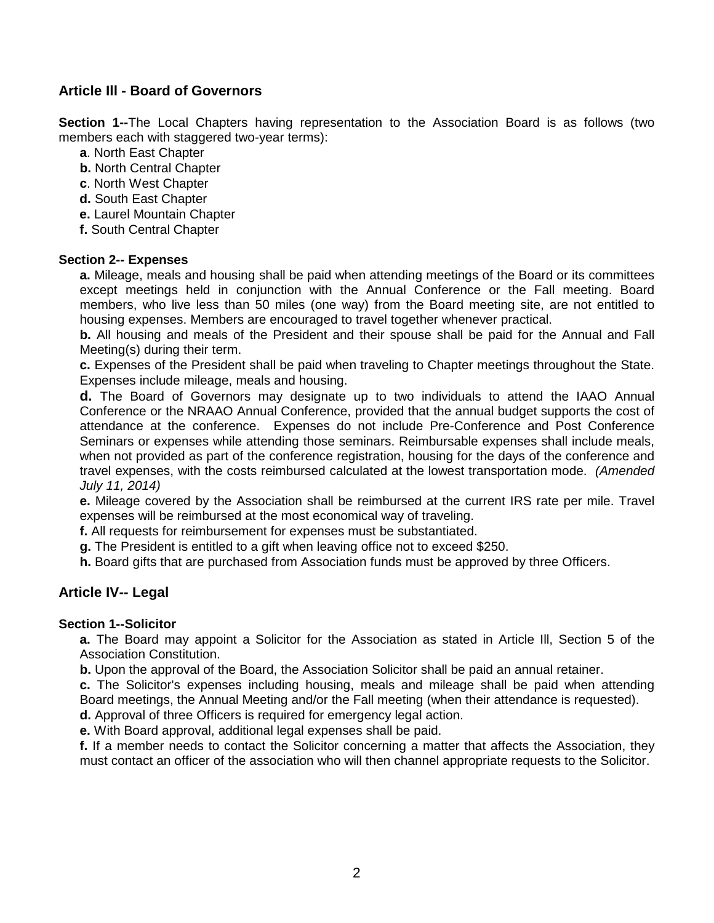# **Article Ill - Board of Governors**

**Section 1--**The Local Chapters having representation to the Association Board is as follows (two members each with staggered two-year terms):

- **a**. North East Chapter
- **b.** North Central Chapter
- **c**. North West Chapter
- **d.** South East Chapter
- **e.** Laurel Mountain Chapter
- **f.** South Central Chapter

### **Section 2-- Expenses**

**a.** Mileage, meals and housing shall be paid when attending meetings of the Board or its committees except meetings held in conjunction with the Annual Conference or the Fall meeting. Board members, who live less than 50 miles (one way) from the Board meeting site, are not entitled to housing expenses. Members are encouraged to travel together whenever practical.

**b.** All housing and meals of the President and their spouse shall be paid for the Annual and Fall Meeting(s) during their term.

**c.** Expenses of the President shall be paid when traveling to Chapter meetings throughout the State. Expenses include mileage, meals and housing.

**d.** The Board of Governors may designate up to two individuals to attend the IAAO Annual Conference or the NRAAO Annual Conference, provided that the annual budget supports the cost of attendance at the conference. Expenses do not include Pre-Conference and Post Conference Seminars or expenses while attending those seminars. Reimbursable expenses shall include meals, when not provided as part of the conference registration, housing for the days of the conference and travel expenses, with the costs reimbursed calculated at the lowest transportation mode. *(Amended July 11, 2014)*

**e.** Mileage covered by the Association shall be reimbursed at the current IRS rate per mile. Travel expenses will be reimbursed at the most economical way of traveling.

**f.** All requests for reimbursement for expenses must be substantiated.

**g.** The President is entitled to a gift when leaving office not to exceed \$250.

**h.** Board gifts that are purchased from Association funds must be approved by three Officers.

# **Article IV-- Legal**

# **Section 1--Solicitor**

**a.** The Board may appoint a Solicitor for the Association as stated in Article Ill, Section 5 of the Association Constitution.

**b.** Upon the approval of the Board, the Association Solicitor shall be paid an annual retainer.

**c.** The Solicitor's expenses including housing, meals and mileage shall be paid when attending Board meetings, the Annual Meeting and/or the Fall meeting (when their attendance is requested).

**d.** Approval of three Officers is required for emergency legal action.

**e.** With Board approval, additional legal expenses shall be paid.

**f.** If a member needs to contact the Solicitor concerning a matter that affects the Association, they must contact an officer of the association who will then channel appropriate requests to the Solicitor.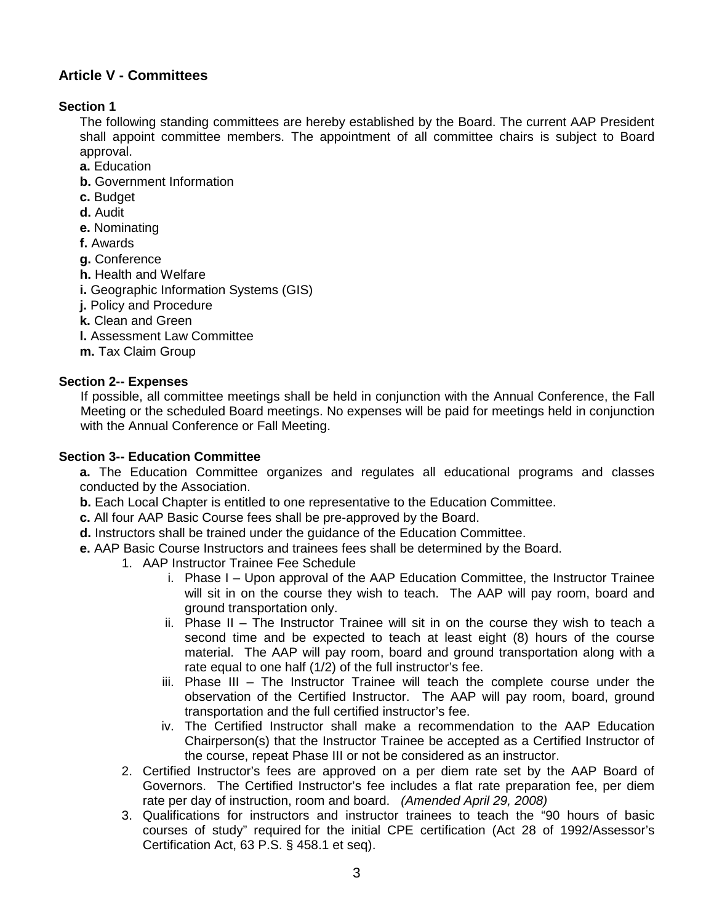# **Article V - Committees**

# **Section 1**

The following standing committees are hereby established by the Board. The current AAP President shall appoint committee members. The appointment of all committee chairs is subject to Board approval.

- **a.** Education
- **b.** Government Information
- **c.** Budget
- **d.** Audit
- **e.** Nominating
- **f.** Awards
- **g.** Conference
- **h.** Health and Welfare
- **i.** Geographic Information Systems (GIS)
- **j.** Policy and Procedure
- **k.** Clean and Green
- **l.** Assessment Law Committee
- **m.** Tax Claim Group

# **Section 2-- Expenses**

If possible, all committee meetings shall be held in conjunction with the Annual Conference, the Fall Meeting or the scheduled Board meetings. No expenses will be paid for meetings held in conjunction with the Annual Conference or Fall Meeting.

### **Section 3-- Education Committee**

**a.** The Education Committee organizes and regulates all educational programs and classes conducted by the Association.

**b.** Each Local Chapter is entitled to one representative to the Education Committee.

- **c.** All four AAP Basic Course fees shall be pre-approved by the Board.
- **d.** Instructors shall be trained under the guidance of the Education Committee.
- **e.** AAP Basic Course Instructors and trainees fees shall be determined by the Board.
	- 1. AAP Instructor Trainee Fee Schedule
		- i. Phase I Upon approval of the AAP Education Committee, the Instructor Trainee will sit in on the course they wish to teach. The AAP will pay room, board and ground transportation only.
		- ii. Phase II The Instructor Trainee will sit in on the course they wish to teach a second time and be expected to teach at least eight (8) hours of the course material. The AAP will pay room, board and ground transportation along with a rate equal to one half (1/2) of the full instructor's fee.
		- iii. Phase III The Instructor Trainee will teach the complete course under the observation of the Certified Instructor. The AAP will pay room, board, ground transportation and the full certified instructor's fee.
		- iv. The Certified Instructor shall make a recommendation to the AAP Education Chairperson(s) that the Instructor Trainee be accepted as a Certified Instructor of the course, repeat Phase III or not be considered as an instructor.
	- 2. Certified Instructor's fees are approved on a per diem rate set by the AAP Board of Governors. The Certified Instructor's fee includes a flat rate preparation fee, per diem rate per day of instruction, room and board. *(Amended April 29, 2008)*
	- 3. Qualifications for instructors and instructor trainees to teach the "90 hours of basic courses of study" required for the initial CPE certification (Act 28 of 1992/Assessor's Certification Act, 63 P.S. § 458.1 et seq).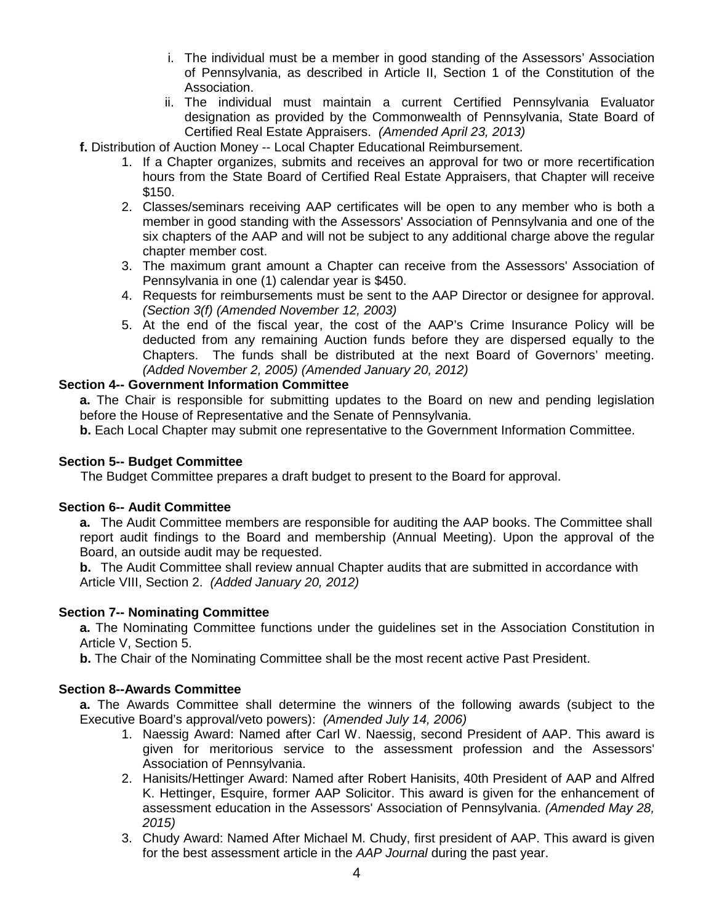- i. The individual must be a member in good standing of the Assessors' Association of Pennsylvania, as described in Article II, Section 1 of the Constitution of the Association.
- ii. The individual must maintain a current Certified Pennsylvania Evaluator designation as provided by the Commonwealth of Pennsylvania, State Board of Certified Real Estate Appraisers. *(Amended April 23, 2013)*
- **f.** Distribution of Auction Money -- Local Chapter Educational Reimbursement.
	- 1. If a Chapter organizes, submits and receives an approval for two or more recertification hours from the State Board of Certified Real Estate Appraisers, that Chapter will receive \$150.
	- 2. Classes/seminars receiving AAP certificates will be open to any member who is both a member in good standing with the Assessors' Association of Pennsylvania and one of the six chapters of the AAP and will not be subject to any additional charge above the regular chapter member cost.
	- 3. The maximum grant amount a Chapter can receive from the Assessors' Association of Pennsylvania in one (1) calendar year is \$450.
	- 4. Requests for reimbursements must be sent to the AAP Director or designee for approval. *(Section 3(f) (Amended November 12, 2003)*
	- 5. At the end of the fiscal year, the cost of the AAP's Crime Insurance Policy will be deducted from any remaining Auction funds before they are dispersed equally to the Chapters. The funds shall be distributed at the next Board of Governors' meeting. *(Added November 2, 2005) (Amended January 20, 2012)*

### **Section 4-- Government Information Committee**

**a.** The Chair is responsible for submitting updates to the Board on new and pending legislation before the House of Representative and the Senate of Pennsylvania.

**b.** Each Local Chapter may submit one representative to the Government Information Committee.

### **Section 5-- Budget Committee**

The Budget Committee prepares a draft budget to present to the Board for approval.

#### **Section 6-- Audit Committee**

**a.** The Audit Committee members are responsible for auditing the AAP books. The Committee shall report audit findings to the Board and membership (Annual Meeting). Upon the approval of the Board, an outside audit may be requested.

**b.** The Audit Committee shall review annual Chapter audits that are submitted in accordance with Article VIII, Section 2. *(Added January 20, 2012)*

### **Section 7-- Nominating Committee**

**a.** The Nominating Committee functions under the guidelines set in the Association Constitution in Article V, Section 5.

**b.** The Chair of the Nominating Committee shall be the most recent active Past President.

#### **Section 8--Awards Committee**

**a.** The Awards Committee shall determine the winners of the following awards (subject to the Executive Board's approval/veto powers): *(Amended July 14, 2006)*

- 1. Naessig Award: Named after Carl W. Naessig, second President of AAP. This award is given for meritorious service to the assessment profession and the Assessors' Association of Pennsylvania.
- 2. Hanisits/Hettinger Award: Named after Robert Hanisits, 40th President of AAP and Alfred K. Hettinger, Esquire, former AAP Solicitor. This award is given for the enhancement of assessment education in the Assessors' Association of Pennsylvania. *(Amended May 28, 2015)*
- 3. Chudy Award: Named After Michael M. Chudy, first president of AAP. This award is given for the best assessment article in the *AAP Journal* during the past year.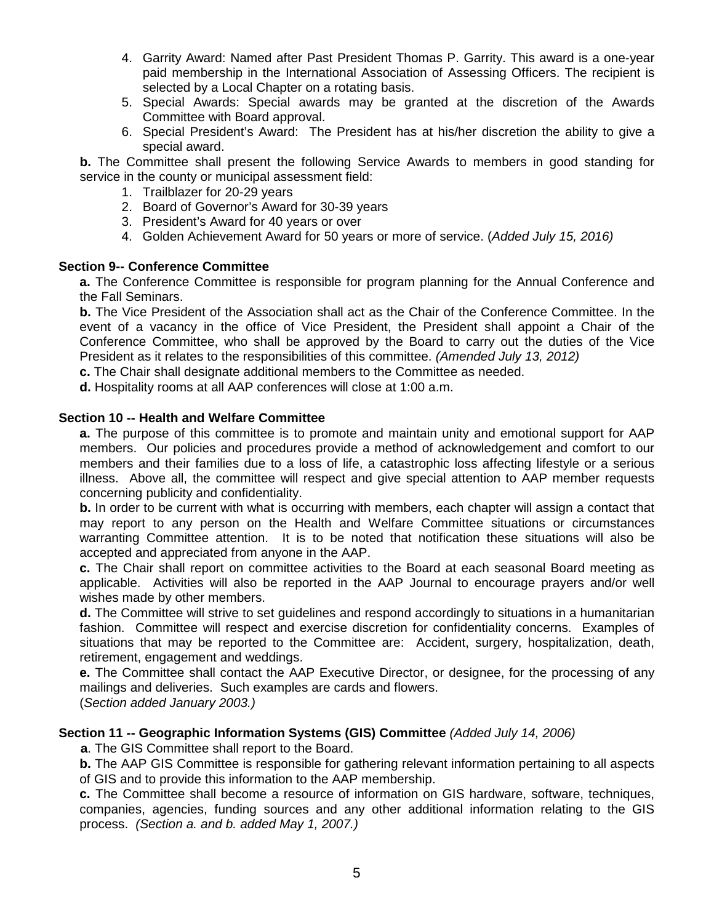- 4. Garrity Award: Named after Past President Thomas P. Garrity. This award is a one-year paid membership in the International Association of Assessing Officers. The recipient is selected by a Local Chapter on a rotating basis.
- 5. Special Awards: Special awards may be granted at the discretion of the Awards Committee with Board approval.
- 6. Special President's Award: The President has at his/her discretion the ability to give a special award.

**b.** The Committee shall present the following Service Awards to members in good standing for service in the county or municipal assessment field:

- 1. Trailblazer for 20-29 years
- 2. Board of Governor's Award for 30-39 years
- 3. President's Award for 40 years or over
- 4. Golden Achievement Award for 50 years or more of service. (*Added July 15, 2016)*

#### **Section 9-- Conference Committee**

**a.** The Conference Committee is responsible for program planning for the Annual Conference and the Fall Seminars.

**b.** The Vice President of the Association shall act as the Chair of the Conference Committee. In the event of a vacancy in the office of Vice President, the President shall appoint a Chair of the Conference Committee, who shall be approved by the Board to carry out the duties of the Vice President as it relates to the responsibilities of this committee. *(Amended July 13, 2012)*

**c.** The Chair shall designate additional members to the Committee as needed.

**d.** Hospitality rooms at all AAP conferences will close at 1:00 a.m.

#### **Section 10 -- Health and Welfare Committee**

**a.** The purpose of this committee is to promote and maintain unity and emotional support for AAP members. Our policies and procedures provide a method of acknowledgement and comfort to our members and their families due to a loss of life, a catastrophic loss affecting lifestyle or a serious illness. Above all, the committee will respect and give special attention to AAP member requests concerning publicity and confidentiality.

**b.** In order to be current with what is occurring with members, each chapter will assign a contact that may report to any person on the Health and Welfare Committee situations or circumstances warranting Committee attention. It is to be noted that notification these situations will also be accepted and appreciated from anyone in the AAP.

**c.** The Chair shall report on committee activities to the Board at each seasonal Board meeting as applicable. Activities will also be reported in the AAP Journal to encourage prayers and/or well wishes made by other members.

**d.** The Committee will strive to set guidelines and respond accordingly to situations in a humanitarian fashion. Committee will respect and exercise discretion for confidentiality concerns. Examples of situations that may be reported to the Committee are: Accident, surgery, hospitalization, death, retirement, engagement and weddings.

**e.** The Committee shall contact the AAP Executive Director, or designee, for the processing of any mailings and deliveries. Such examples are cards and flowers.

(*Section added January 2003.)*

#### **Section 11 -- Geographic Information Systems (GIS) Committee** *(Added July 14, 2006)*

**a**. The GIS Committee shall report to the Board.

**b.** The AAP GIS Committee is responsible for gathering relevant information pertaining to all aspects of GIS and to provide this information to the AAP membership.

**c.** The Committee shall become a resource of information on GIS hardware, software, techniques, companies, agencies, funding sources and any other additional information relating to the GIS process. *(Section a. and b. added May 1, 2007.)*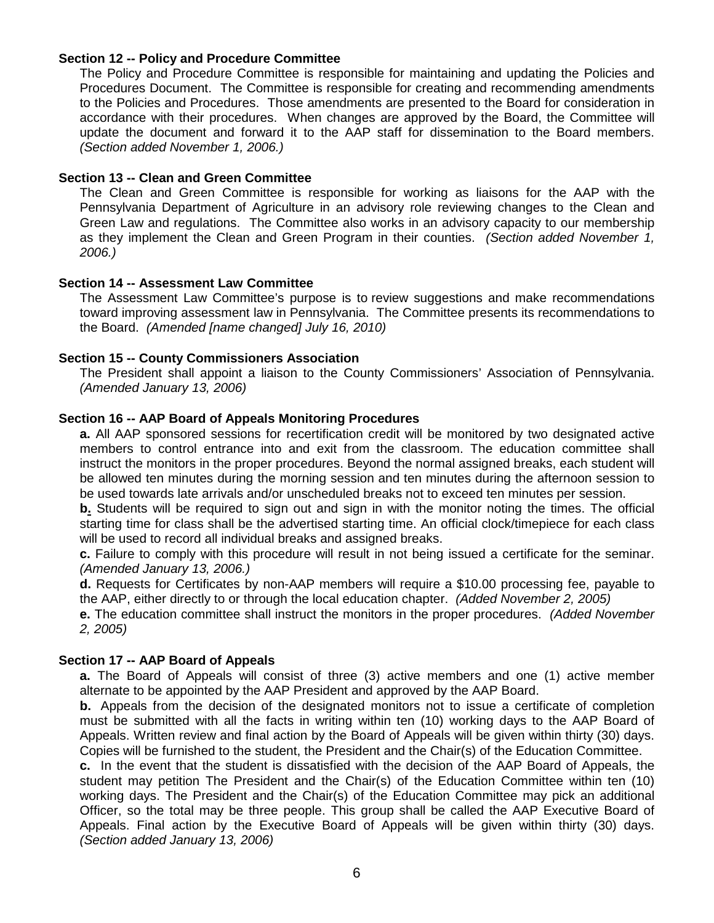### **Section 12 -- Policy and Procedure Committee**

The Policy and Procedure Committee is responsible for maintaining and updating the Policies and Procedures Document. The Committee is responsible for creating and recommending amendments to the Policies and Procedures. Those amendments are presented to the Board for consideration in accordance with their procedures. When changes are approved by the Board, the Committee will update the document and forward it to the AAP staff for dissemination to the Board members. *(Section added November 1, 2006.)*

### **Section 13 -- Clean and Green Committee**

The Clean and Green Committee is responsible for working as liaisons for the AAP with the Pennsylvania Department of Agriculture in an advisory role reviewing changes to the Clean and Green Law and regulations. The Committee also works in an advisory capacity to our membership as they implement the Clean and Green Program in their counties. *(Section added November 1, 2006.)* 

### **Section 14 -- Assessment Law Committee**

The Assessment Law Committee's purpose is to review suggestions and make recommendations toward improving assessment law in Pennsylvania. The Committee presents its recommendations to the Board. *(Amended [name changed] July 16, 2010)*

### **Section 15 -- County Commissioners Association**

The President shall appoint a liaison to the County Commissioners' Association of Pennsylvania. *(Amended January 13, 2006)*

### **Section 16 -- AAP Board of Appeals Monitoring Procedures**

**a.** All AAP sponsored sessions for recertification credit will be monitored by two designated active members to control entrance into and exit from the classroom. The education committee shall instruct the monitors in the proper procedures. Beyond the normal assigned breaks, each student will be allowed ten minutes during the morning session and ten minutes during the afternoon session to be used towards late arrivals and/or unscheduled breaks not to exceed ten minutes per session.

**b.** Students will be required to sign out and sign in with the monitor noting the times. The official starting time for class shall be the advertised starting time. An official clock/timepiece for each class will be used to record all individual breaks and assigned breaks.

**c.** Failure to comply with this procedure will result in not being issued a certificate for the seminar. *(Amended January 13, 2006.)*

**d.** Requests for Certificates by non-AAP members will require a \$10.00 processing fee, payable to the AAP, either directly to or through the local education chapter. *(Added November 2, 2005)*

**e.** The education committee shall instruct the monitors in the proper procedures. *(Added November 2, 2005)*

### **Section 17 -- AAP Board of Appeals**

**a.** The Board of Appeals will consist of three (3) active members and one (1) active member alternate to be appointed by the AAP President and approved by the AAP Board.

**b.** Appeals from the decision of the designated monitors not to issue a certificate of completion must be submitted with all the facts in writing within ten (10) working days to the AAP Board of Appeals. Written review and final action by the Board of Appeals will be given within thirty (30) days. Copies will be furnished to the student, the President and the Chair(s) of the Education Committee.

**c.** In the event that the student is dissatisfied with the decision of the AAP Board of Appeals, the student may petition The President and the Chair(s) of the Education Committee within ten (10) working days. The President and the Chair(s) of the Education Committee may pick an additional Officer, so the total may be three people. This group shall be called the AAP Executive Board of Appeals. Final action by the Executive Board of Appeals will be given within thirty (30) days. *(Section added January 13, 2006)*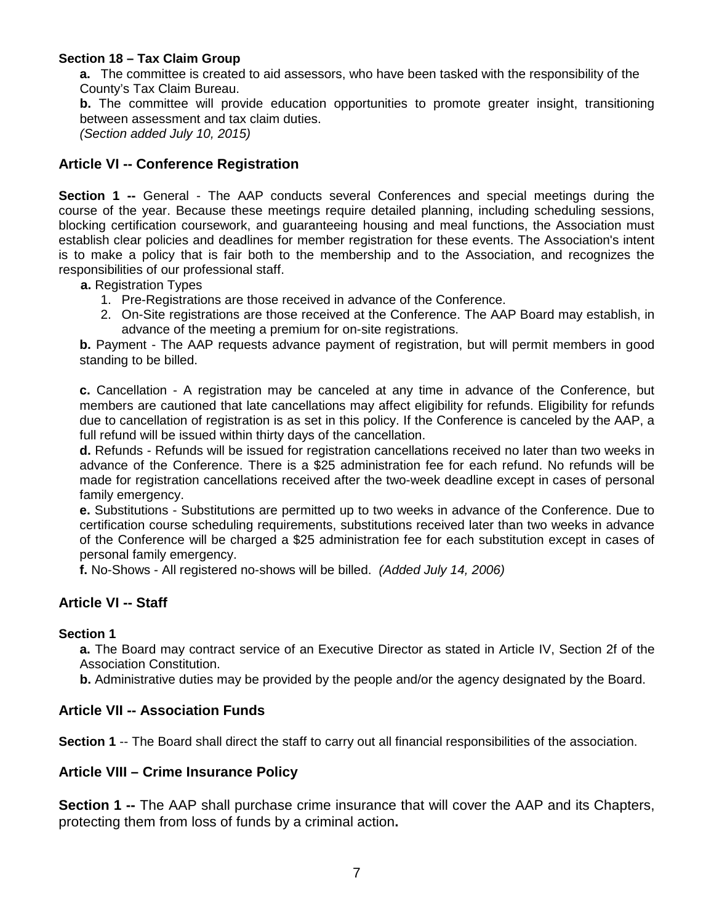## **Section 18 – Tax Claim Group**

**a.** The committee is created to aid assessors, who have been tasked with the responsibility of the County's Tax Claim Bureau.

**b.** The committee will provide education opportunities to promote greater insight, transitioning between assessment and tax claim duties.

*(Section added July 10, 2015)*

# **Article VI -- Conference Registration**

**Section 1 --** General - The AAP conducts several Conferences and special meetings during the course of the year. Because these meetings require detailed planning, including scheduling sessions, blocking certification coursework, and guaranteeing housing and meal functions, the Association must establish clear policies and deadlines for member registration for these events. The Association's intent is to make a policy that is fair both to the membership and to the Association, and recognizes the responsibilities of our professional staff.

**a.** Registration Types

- 1. Pre-Registrations are those received in advance of the Conference.
- 2. On-Site registrations are those received at the Conference. The AAP Board may establish, in advance of the meeting a premium for on-site registrations.

**b.** Payment - The AAP requests advance payment of registration, but will permit members in good standing to be billed.

**c.** Cancellation - A registration may be canceled at any time in advance of the Conference, but members are cautioned that late cancellations may affect eligibility for refunds. Eligibility for refunds due to cancellation of registration is as set in this policy. If the Conference is canceled by the AAP, a full refund will be issued within thirty days of the cancellation.

**d.** Refunds - Refunds will be issued for registration cancellations received no later than two weeks in advance of the Conference. There is a \$25 administration fee for each refund. No refunds will be made for registration cancellations received after the two-week deadline except in cases of personal family emergency.

**e.** Substitutions - Substitutions are permitted up to two weeks in advance of the Conference. Due to certification course scheduling requirements, substitutions received later than two weeks in advance of the Conference will be charged a \$25 administration fee for each substitution except in cases of personal family emergency.

**f.** No-Shows - All registered no-shows will be billed. *(Added July 14, 2006)*

# **Article VI -- Staff**

### **Section 1**

**a.** The Board may contract service of an Executive Director as stated in Article IV, Section 2f of the Association Constitution.

**b.** Administrative duties may be provided by the people and/or the agency designated by the Board.

# **Article VII -- Association Funds**

**Section 1** -- The Board shall direct the staff to carry out all financial responsibilities of the association.

# **Article VIII – Crime Insurance Policy**

**Section 1 --** The AAP shall purchase crime insurance that will cover the AAP and its Chapters, protecting them from loss of funds by a criminal action**.**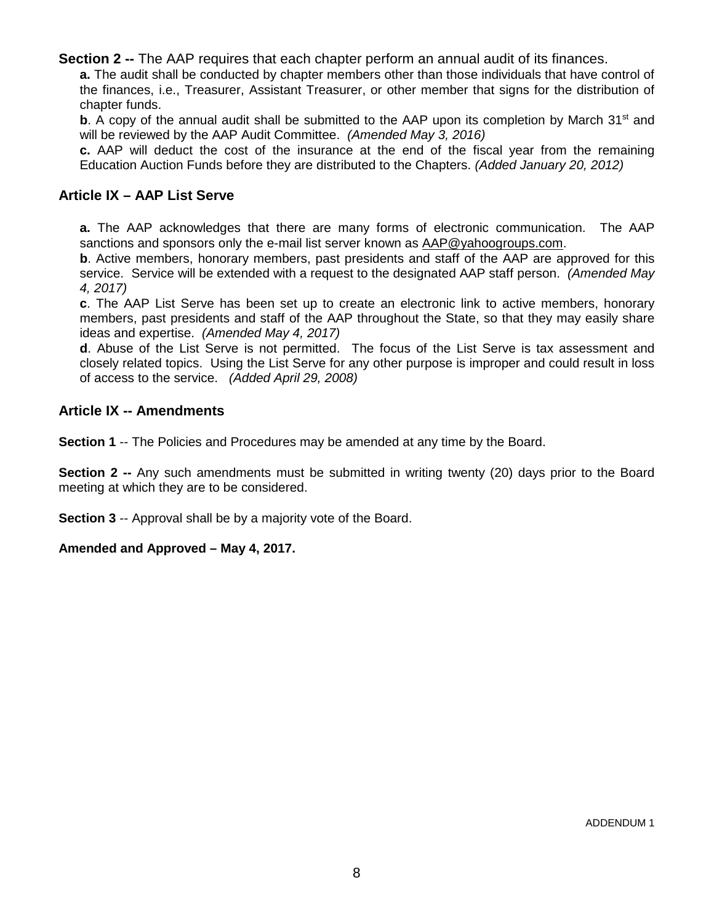**Section 2 --** The AAP requires that each chapter perform an annual audit of its finances.

**a.** The audit shall be conducted by chapter members other than those individuals that have control of the finances, i.e., Treasurer, Assistant Treasurer, or other member that signs for the distribution of chapter funds.

**b**. A copy of the annual audit shall be submitted to the AAP upon its completion by March  $31<sup>st</sup>$  and will be reviewed by the AAP Audit Committee. *(Amended May 3, 2016)*

**c.** AAP will deduct the cost of the insurance at the end of the fiscal year from the remaining Education Auction Funds before they are distributed to the Chapters. *(Added January 20, 2012)* 

# **Article IX – AAP List Serve**

**a.** The AAP acknowledges that there are many forms of electronic communication. The AAP sanctions and sponsors only the e-mail list server known as [AAP@yahoogroups.com.](mailto:AAP@yahoogroups.com)

**b**. Active members, honorary members, past presidents and staff of the AAP are approved for this service. Service will be extended with a request to the designated AAP staff person. *(Amended May 4, 2017)*

**c**. The AAP List Serve has been set up to create an electronic link to active members, honorary members, past presidents and staff of the AAP throughout the State, so that they may easily share ideas and expertise. *(Amended May 4, 2017)*

**d**. Abuse of the List Serve is not permitted. The focus of the List Serve is tax assessment and closely related topics. Using the List Serve for any other purpose is improper and could result in loss of access to the service. *(Added April 29, 2008)*

# **Article IX -- Amendments**

**Section 1** -- The Policies and Procedures may be amended at any time by the Board.

**Section 2 --** Any such amendments must be submitted in writing twenty (20) days prior to the Board meeting at which they are to be considered.

**Section 3** -- Approval shall be by a majority vote of the Board.

### **Amended and Approved – May 4, 2017.**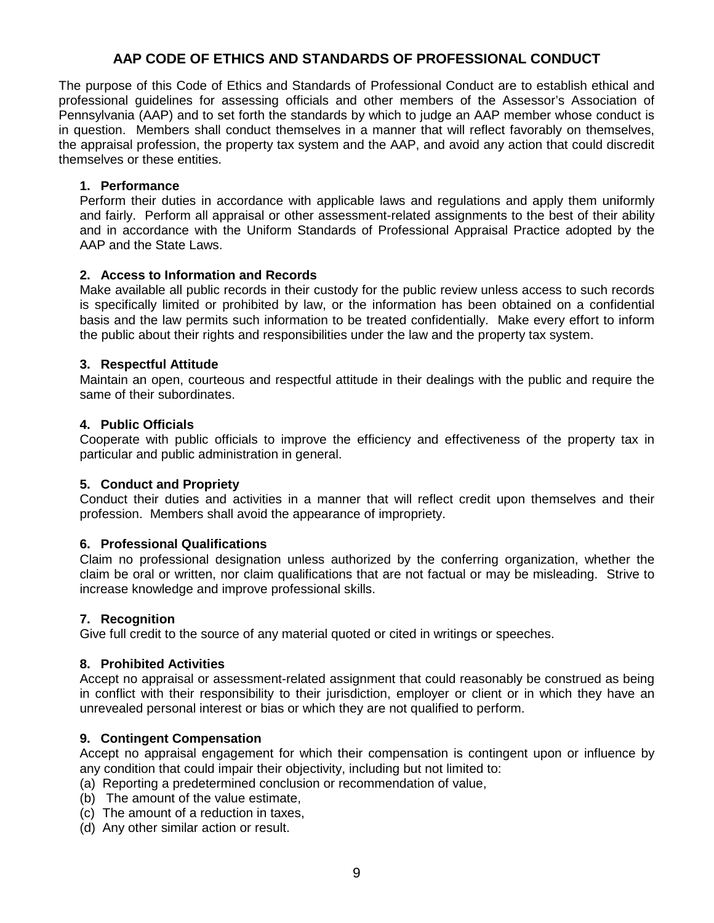# **AAP CODE OF ETHICS AND STANDARDS OF PROFESSIONAL CONDUCT**

The purpose of this Code of Ethics and Standards of Professional Conduct are to establish ethical and professional guidelines for assessing officials and other members of the Assessor's Association of Pennsylvania (AAP) and to set forth the standards by which to judge an AAP member whose conduct is in question. Members shall conduct themselves in a manner that will reflect favorably on themselves, the appraisal profession, the property tax system and the AAP, and avoid any action that could discredit themselves or these entities.

### **1. Performance**

Perform their duties in accordance with applicable laws and regulations and apply them uniformly and fairly. Perform all appraisal or other assessment-related assignments to the best of their ability and in accordance with the Uniform Standards of Professional Appraisal Practice adopted by the AAP and the State Laws.

### **2. Access to Information and Records**

Make available all public records in their custody for the public review unless access to such records is specifically limited or prohibited by law, or the information has been obtained on a confidential basis and the law permits such information to be treated confidentially. Make every effort to inform the public about their rights and responsibilities under the law and the property tax system.

### **3. Respectful Attitude**

Maintain an open, courteous and respectful attitude in their dealings with the public and require the same of their subordinates.

### **4. Public Officials**

Cooperate with public officials to improve the efficiency and effectiveness of the property tax in particular and public administration in general.

#### **5. Conduct and Propriety**

Conduct their duties and activities in a manner that will reflect credit upon themselves and their profession. Members shall avoid the appearance of impropriety.

#### **6. Professional Qualifications**

Claim no professional designation unless authorized by the conferring organization, whether the claim be oral or written, nor claim qualifications that are not factual or may be misleading. Strive to increase knowledge and improve professional skills.

#### **7. Recognition**

Give full credit to the source of any material quoted or cited in writings or speeches.

#### **8. Prohibited Activities**

Accept no appraisal or assessment-related assignment that could reasonably be construed as being in conflict with their responsibility to their jurisdiction, employer or client or in which they have an unrevealed personal interest or bias or which they are not qualified to perform.

#### **9. Contingent Compensation**

Accept no appraisal engagement for which their compensation is contingent upon or influence by any condition that could impair their objectivity, including but not limited to:

- (a) Reporting a predetermined conclusion or recommendation of value,
- (b) The amount of the value estimate,
- (c) The amount of a reduction in taxes,
- (d) Any other similar action or result.